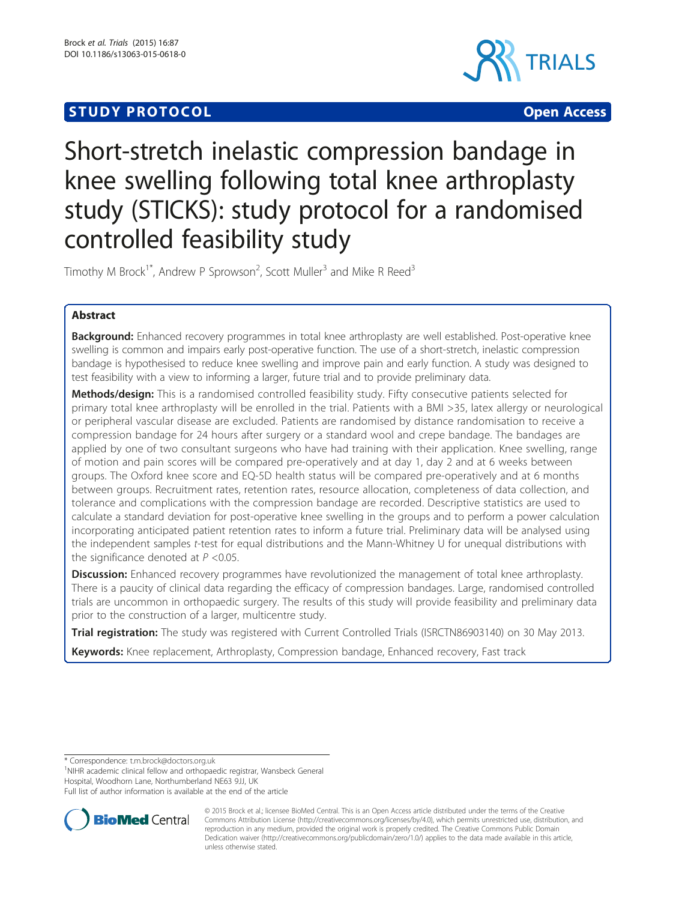# **STUDY PROTOCOL CONSUMING THE CONSUMING OPEN ACCESS**



# Short-stretch inelastic compression bandage in knee swelling following total knee arthroplasty study (STICKS): study protocol for a randomised controlled feasibility study

Timothy M Brock<sup>1\*</sup>, Andrew P Sprowson<sup>2</sup>, Scott Muller<sup>3</sup> and Mike R Reed<sup>3</sup>

# Abstract

**Background:** Enhanced recovery programmes in total knee arthroplasty are well established. Post-operative knee swelling is common and impairs early post-operative function. The use of a short-stretch, inelastic compression bandage is hypothesised to reduce knee swelling and improve pain and early function. A study was designed to test feasibility with a view to informing a larger, future trial and to provide preliminary data.

Methods/design: This is a randomised controlled feasibility study. Fifty consecutive patients selected for primary total knee arthroplasty will be enrolled in the trial. Patients with a BMI >35, latex allergy or neurological or peripheral vascular disease are excluded. Patients are randomised by distance randomisation to receive a compression bandage for 24 hours after surgery or a standard wool and crepe bandage. The bandages are applied by one of two consultant surgeons who have had training with their application. Knee swelling, range of motion and pain scores will be compared pre-operatively and at day 1, day 2 and at 6 weeks between groups. The Oxford knee score and EQ-5D health status will be compared pre-operatively and at 6 months between groups. Recruitment rates, retention rates, resource allocation, completeness of data collection, and tolerance and complications with the compression bandage are recorded. Descriptive statistics are used to calculate a standard deviation for post-operative knee swelling in the groups and to perform a power calculation incorporating anticipated patient retention rates to inform a future trial. Preliminary data will be analysed using the independent samples t-test for equal distributions and the Mann-Whitney U for unequal distributions with the significance denoted at  $P < 0.05$ .

**Discussion:** Enhanced recovery programmes have revolutionized the management of total knee arthroplasty. There is a paucity of clinical data regarding the efficacy of compression bandages. Large, randomised controlled trials are uncommon in orthopaedic surgery. The results of this study will provide feasibility and preliminary data prior to the construction of a larger, multicentre study.

Trial registration: The study was registered with Current Controlled Trials ([ISRCTN86903140\)](http://www.isrctn.com/ISRCTN86903140) on 30 May 2013.

Keywords: Knee replacement, Arthroplasty, Compression bandage, Enhanced recovery, Fast track

\* Correspondence: [t.m.brock@doctors.org.uk](mailto:t.m.brock@doctors.org.uk) <sup>1</sup>

<sup>1</sup>NIHR academic clinical fellow and orthopaedic registrar, Wansbeck General

Hospital, Woodhorn Lane, Northumberland NE63 9JJ, UK

Full list of author information is available at the end of the article



<sup>© 2015</sup> Brock et al.; licensee BioMed Central. This is an Open Access article distributed under the terms of the Creative Commons Attribution License [\(http://creativecommons.org/licenses/by/4.0\)](http://creativecommons.org/licenses/by/4.0), which permits unrestricted use, distribution, and reproduction in any medium, provided the original work is properly credited. The Creative Commons Public Domain Dedication waiver [\(http://creativecommons.org/publicdomain/zero/1.0/](http://creativecommons.org/publicdomain/zero/1.0/)) applies to the data made available in this article, unless otherwise stated.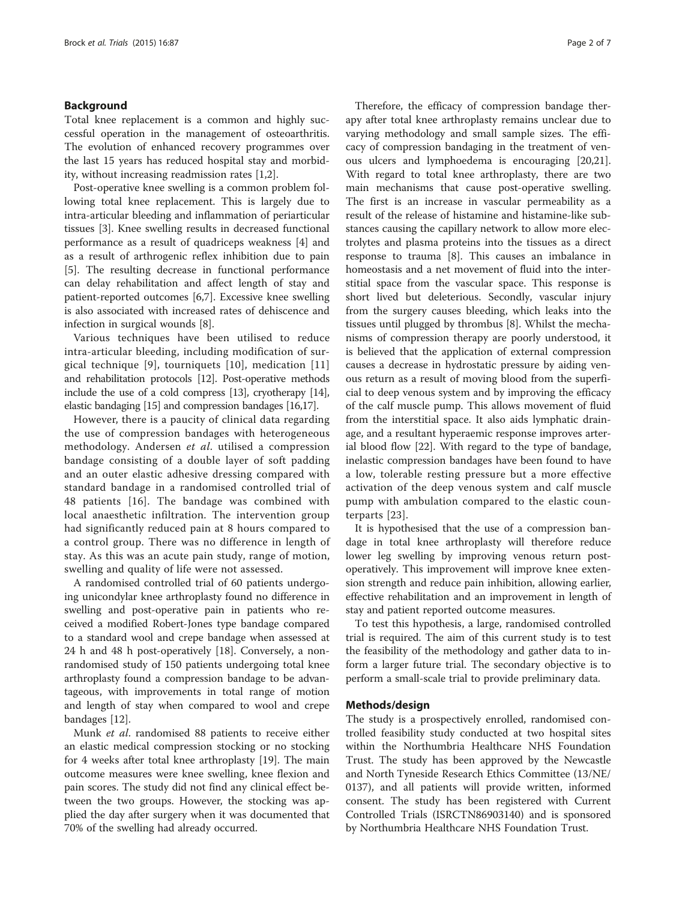## Background

Total knee replacement is a common and highly successful operation in the management of osteoarthritis. The evolution of enhanced recovery programmes over the last 15 years has reduced hospital stay and morbidity, without increasing readmission rates [\[1,2](#page-5-0)].

Post-operative knee swelling is a common problem following total knee replacement. This is largely due to intra-articular bleeding and inflammation of periarticular tissues [\[3\]](#page-5-0). Knee swelling results in decreased functional performance as a result of quadriceps weakness [[4\]](#page-5-0) and as a result of arthrogenic reflex inhibition due to pain [[5\]](#page-5-0). The resulting decrease in functional performance can delay rehabilitation and affect length of stay and patient-reported outcomes [[6,7\]](#page-5-0). Excessive knee swelling is also associated with increased rates of dehiscence and infection in surgical wounds [[8\]](#page-5-0).

Various techniques have been utilised to reduce intra-articular bleeding, including modification of surgical technique [[9](#page-5-0)], tourniquets [[10](#page-5-0)], medication [[11](#page-5-0)] and rehabilitation protocols [\[12](#page-5-0)]. Post-operative methods include the use of a cold compress [\[13](#page-5-0)], cryotherapy [\[14](#page-5-0)], elastic bandaging [\[15\]](#page-5-0) and compression bandages [\[16,17\]](#page-5-0).

However, there is a paucity of clinical data regarding the use of compression bandages with heterogeneous methodology. Andersen et al. utilised a compression bandage consisting of a double layer of soft padding and an outer elastic adhesive dressing compared with standard bandage in a randomised controlled trial of 48 patients [\[16](#page-5-0)]. The bandage was combined with local anaesthetic infiltration. The intervention group had significantly reduced pain at 8 hours compared to a control group. There was no difference in length of stay. As this was an acute pain study, range of motion, swelling and quality of life were not assessed.

A randomised controlled trial of 60 patients undergoing unicondylar knee arthroplasty found no difference in swelling and post-operative pain in patients who received a modified Robert-Jones type bandage compared to a standard wool and crepe bandage when assessed at 24 h and 48 h post-operatively [\[18\]](#page-5-0). Conversely, a nonrandomised study of 150 patients undergoing total knee arthroplasty found a compression bandage to be advantageous, with improvements in total range of motion and length of stay when compared to wool and crepe bandages [\[12](#page-5-0)].

Munk et al. randomised 88 patients to receive either an elastic medical compression stocking or no stocking for 4 weeks after total knee arthroplasty [\[19](#page-5-0)]. The main outcome measures were knee swelling, knee flexion and pain scores. The study did not find any clinical effect between the two groups. However, the stocking was applied the day after surgery when it was documented that 70% of the swelling had already occurred.

Therefore, the efficacy of compression bandage therapy after total knee arthroplasty remains unclear due to varying methodology and small sample sizes. The efficacy of compression bandaging in the treatment of venous ulcers and lymphoedema is encouraging [\[20,21](#page-5-0)]. With regard to total knee arthroplasty, there are two main mechanisms that cause post-operative swelling. The first is an increase in vascular permeability as a result of the release of histamine and histamine-like substances causing the capillary network to allow more electrolytes and plasma proteins into the tissues as a direct response to trauma [[8](#page-5-0)]. This causes an imbalance in homeostasis and a net movement of fluid into the interstitial space from the vascular space. This response is short lived but deleterious. Secondly, vascular injury from the surgery causes bleeding, which leaks into the tissues until plugged by thrombus [\[8](#page-5-0)]. Whilst the mechanisms of compression therapy are poorly understood, it is believed that the application of external compression causes a decrease in hydrostatic pressure by aiding venous return as a result of moving blood from the superficial to deep venous system and by improving the efficacy of the calf muscle pump. This allows movement of fluid from the interstitial space. It also aids lymphatic drainage, and a resultant hyperaemic response improves arterial blood flow [[22\]](#page-5-0). With regard to the type of bandage, inelastic compression bandages have been found to have a low, tolerable resting pressure but a more effective activation of the deep venous system and calf muscle pump with ambulation compared to the elastic counterparts [[23](#page-5-0)].

It is hypothesised that the use of a compression bandage in total knee arthroplasty will therefore reduce lower leg swelling by improving venous return postoperatively. This improvement will improve knee extension strength and reduce pain inhibition, allowing earlier, effective rehabilitation and an improvement in length of stay and patient reported outcome measures.

To test this hypothesis, a large, randomised controlled trial is required. The aim of this current study is to test the feasibility of the methodology and gather data to inform a larger future trial. The secondary objective is to perform a small-scale trial to provide preliminary data.

#### Methods/design

The study is a prospectively enrolled, randomised controlled feasibility study conducted at two hospital sites within the Northumbria Healthcare NHS Foundation Trust. The study has been approved by the Newcastle and North Tyneside Research Ethics Committee (13/NE/ 0137), and all patients will provide written, informed consent. The study has been registered with Current Controlled Trials (ISRCTN86903140) and is sponsored by Northumbria Healthcare NHS Foundation Trust.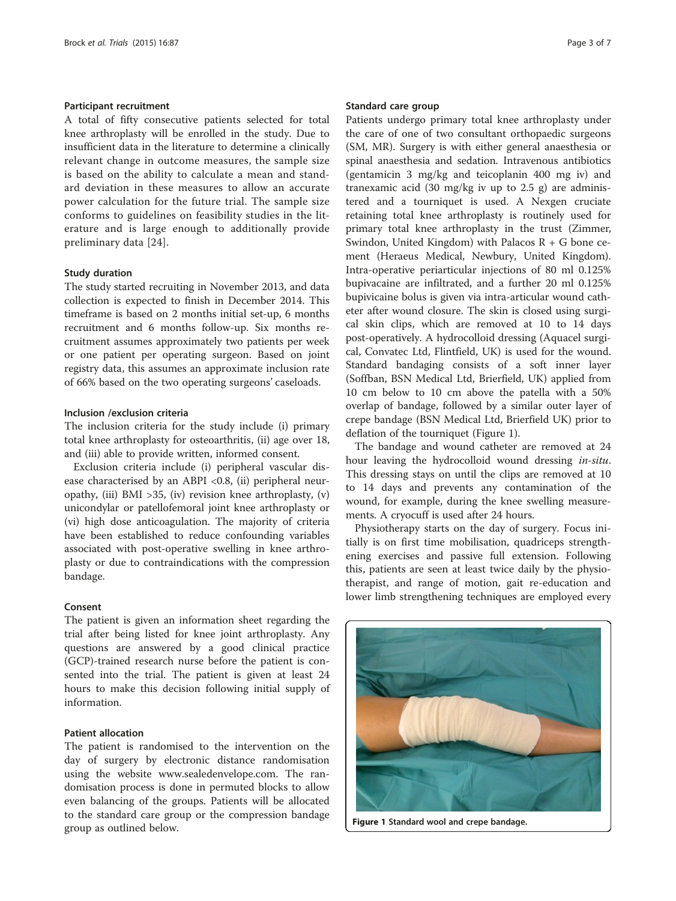#### Participant recruitment

A total of fifty consecutive patients selected for total knee arthroplasty will be enrolled in the study. Due to insufficient data in the literature to determine a clinically relevant change in outcome measures, the sample size is based on the ability to calculate a mean and standard deviation in these measures to allow an accurate power calculation for the future trial. The sample size conforms to guidelines on feasibility studies in the literature and is large enough to additionally provide preliminary data [[24](#page-5-0)].

# Study duration

The study started recruiting in November 2013, and data collection is expected to finish in December 2014. This timeframe is based on 2 months initial set-up, 6 months recruitment and 6 months follow-up. Six months recruitment assumes approximately two patients per week or one patient per operating surgeon. Based on joint registry data, this assumes an approximate inclusion rate of 66% based on the two operating surgeons' caseloads.

# Inclusion /exclusion criteria

The inclusion criteria for the study include (i) primary total knee arthroplasty for osteoarthritis, (ii) age over 18, and (iii) able to provide written, informed consent.

Exclusion criteria include (i) peripheral vascular disease characterised by an ABPI <0.8, (ii) peripheral neuropathy, (iii) BMI  $>35$ , (iv) revision knee arthroplasty, (v) unicondylar or patellofemoral joint knee arthroplasty or (vi) high dose anticoagulation. The majority of criteria have been established to reduce confounding variables associated with post-operative swelling in knee arthroplasty or due to contraindications with the compression bandage.

# Consent

The patient is given an information sheet regarding the trial after being listed for knee joint arthroplasty. Any questions are answered by a good clinical practice (GCP)-trained research nurse before the patient is consented into the trial. The patient is given at least 24 hours to make this decision following initial supply of information.

# Patient allocation

The patient is randomised to the intervention on the day of surgery by electronic distance randomisation using the website [www.sealedenvelope.com](http://www.sealedenvelope.com). The randomisation process is done in permuted blocks to allow even balancing of the groups. Patients will be allocated to the standard care group or the compression bandage group as outlined below.

#### Standard care group

Patients undergo primary total knee arthroplasty under the care of one of two consultant orthopaedic surgeons (SM, MR). Surgery is with either general anaesthesia or spinal anaesthesia and sedation. Intravenous antibiotics (gentamicin 3 mg/kg and teicoplanin 400 mg iv) and tranexamic acid  $(30 \text{ mg/kg})$  iv up to 2.5 g) are administered and a tourniquet is used. A Nexgen cruciate retaining total knee arthroplasty is routinely used for primary total knee arthroplasty in the trust (Zimmer, Swindon, United Kingdom) with Palacos  $R + G$  bone cement (Heraeus Medical, Newbury, United Kingdom). Intra-operative periarticular injections of 80 ml 0.125% bupivacaine are infiltrated, and a further 20 ml 0.125% bupivicaine bolus is given via intra-articular wound catheter after wound closure. The skin is closed using surgical skin clips, which are removed at 10 to 14 days post-operatively. A hydrocolloid dressing (Aquacel surgical, Convatec Ltd, Flintfield, UK) is used for the wound. Standard bandaging consists of a soft inner layer (Soffban, BSN Medical Ltd, Brierfield, UK) applied from 10 cm below to 10 cm above the patella with a 50% overlap of bandage, followed by a similar outer layer of crepe bandage (BSN Medical Ltd, Brierfield UK) prior to deflation of the tourniquet (Figure 1).

The bandage and wound catheter are removed at 24 hour leaving the hydrocolloid wound dressing in-situ. This dressing stays on until the clips are removed at 10 to 14 days and prevents any contamination of the wound, for example, during the knee swelling measurements. A cryocuff is used after 24 hours.

Physiotherapy starts on the day of surgery. Focus initially is on first time mobilisation, quadriceps strengthening exercises and passive full extension. Following this, patients are seen at least twice daily by the physiotherapist, and range of motion, gait re-education and lower limb strengthening techniques are employed every



Figure 1 Standard wool and crepe bandage.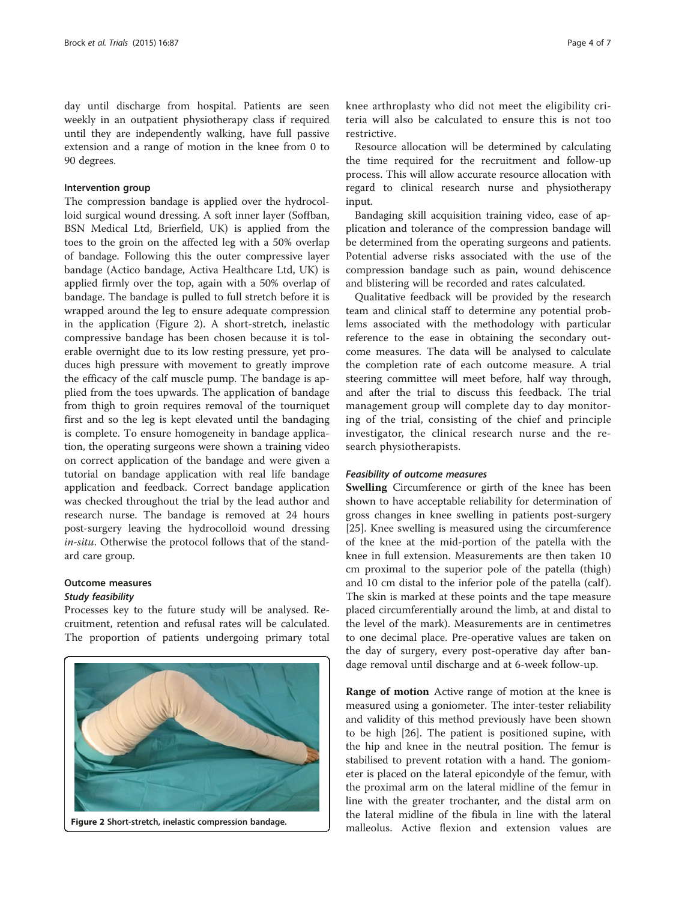day until discharge from hospital. Patients are seen weekly in an outpatient physiotherapy class if required until they are independently walking, have full passive extension and a range of motion in the knee from 0 to 90 degrees.

#### Intervention group

The compression bandage is applied over the hydrocolloid surgical wound dressing. A soft inner layer (Soffban, BSN Medical Ltd, Brierfield, UK) is applied from the toes to the groin on the affected leg with a 50% overlap of bandage. Following this the outer compressive layer bandage (Actico bandage, Activa Healthcare Ltd, UK) is applied firmly over the top, again with a 50% overlap of bandage. The bandage is pulled to full stretch before it is wrapped around the leg to ensure adequate compression in the application (Figure 2). A short-stretch, inelastic compressive bandage has been chosen because it is tolerable overnight due to its low resting pressure, yet produces high pressure with movement to greatly improve the efficacy of the calf muscle pump. The bandage is applied from the toes upwards. The application of bandage from thigh to groin requires removal of the tourniquet first and so the leg is kept elevated until the bandaging is complete. To ensure homogeneity in bandage application, the operating surgeons were shown a training video on correct application of the bandage and were given a tutorial on bandage application with real life bandage application and feedback. Correct bandage application was checked throughout the trial by the lead author and research nurse. The bandage is removed at 24 hours post-surgery leaving the hydrocolloid wound dressing in-situ. Otherwise the protocol follows that of the standard care group.

### Outcome measures

#### Study feasibility

Processes key to the future study will be analysed. Recruitment, retention and refusal rates will be calculated. The proportion of patients undergoing primary total



knee arthroplasty who did not meet the eligibility criteria will also be calculated to ensure this is not too restrictive.

Resource allocation will be determined by calculating the time required for the recruitment and follow-up process. This will allow accurate resource allocation with regard to clinical research nurse and physiotherapy input.

Bandaging skill acquisition training video, ease of application and tolerance of the compression bandage will be determined from the operating surgeons and patients. Potential adverse risks associated with the use of the compression bandage such as pain, wound dehiscence and blistering will be recorded and rates calculated.

Qualitative feedback will be provided by the research team and clinical staff to determine any potential problems associated with the methodology with particular reference to the ease in obtaining the secondary outcome measures. The data will be analysed to calculate the completion rate of each outcome measure. A trial steering committee will meet before, half way through, and after the trial to discuss this feedback. The trial management group will complete day to day monitoring of the trial, consisting of the chief and principle investigator, the clinical research nurse and the research physiotherapists.

#### Feasibility of outcome measures

Swelling Circumference or girth of the knee has been shown to have acceptable reliability for determination of gross changes in knee swelling in patients post-surgery [[25\]](#page-5-0). Knee swelling is measured using the circumference of the knee at the mid-portion of the patella with the knee in full extension. Measurements are then taken 10 cm proximal to the superior pole of the patella (thigh) and 10 cm distal to the inferior pole of the patella (calf). The skin is marked at these points and the tape measure placed circumferentially around the limb, at and distal to the level of the mark). Measurements are in centimetres to one decimal place. Pre-operative values are taken on the day of surgery, every post-operative day after bandage removal until discharge and at 6-week follow-up.

Range of motion Active range of motion at the knee is measured using a goniometer. The inter-tester reliability and validity of this method previously have been shown to be high [[26\]](#page-6-0). The patient is positioned supine, with the hip and knee in the neutral position. The femur is stabilised to prevent rotation with a hand. The goniometer is placed on the lateral epicondyle of the femur, with the proximal arm on the lateral midline of the femur in line with the greater trochanter, and the distal arm on the lateral midline of the fibula in line with the lateral Figure 2 Short-stretch, inelastic compression bandage.<br>
malleolus. Active flexion and extension values are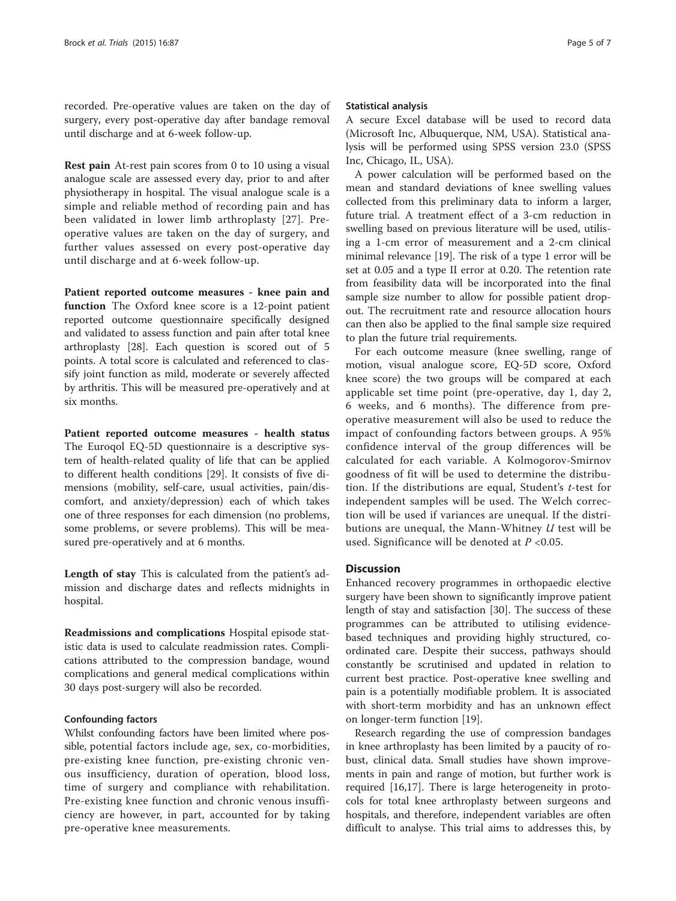recorded. Pre-operative values are taken on the day of surgery, every post-operative day after bandage removal until discharge and at 6-week follow-up.

Rest pain At-rest pain scores from 0 to 10 using a visual analogue scale are assessed every day, prior to and after physiotherapy in hospital. The visual analogue scale is a simple and reliable method of recording pain and has been validated in lower limb arthroplasty [[27\]](#page-6-0). Preoperative values are taken on the day of surgery, and further values assessed on every post-operative day until discharge and at 6-week follow-up.

Patient reported outcome measures - knee pain and function The Oxford knee score is a 12-point patient reported outcome questionnaire specifically designed and validated to assess function and pain after total knee arthroplasty [\[28](#page-6-0)]. Each question is scored out of 5 points. A total score is calculated and referenced to classify joint function as mild, moderate or severely affected by arthritis. This will be measured pre-operatively and at six months.

Patient reported outcome measures - health status The Euroqol EQ-5D questionnaire is a descriptive system of health-related quality of life that can be applied to different health conditions [\[29\]](#page-6-0). It consists of five dimensions (mobility, self-care, usual activities, pain/discomfort, and anxiety/depression) each of which takes one of three responses for each dimension (no problems, some problems, or severe problems). This will be measured pre-operatively and at 6 months.

Length of stay This is calculated from the patient's admission and discharge dates and reflects midnights in hospital.

Readmissions and complications Hospital episode statistic data is used to calculate readmission rates. Complications attributed to the compression bandage, wound complications and general medical complications within 30 days post-surgery will also be recorded.

# Confounding factors

Whilst confounding factors have been limited where possible, potential factors include age, sex, co-morbidities, pre-existing knee function, pre-existing chronic venous insufficiency, duration of operation, blood loss, time of surgery and compliance with rehabilitation. Pre-existing knee function and chronic venous insufficiency are however, in part, accounted for by taking pre-operative knee measurements.

## Statistical analysis

A secure Excel database will be used to record data (Microsoft Inc, Albuquerque, NM, USA). Statistical analysis will be performed using SPSS version 23.0 (SPSS Inc, Chicago, IL, USA).

A power calculation will be performed based on the mean and standard deviations of knee swelling values collected from this preliminary data to inform a larger, future trial. A treatment effect of a 3-cm reduction in swelling based on previous literature will be used, utilising a 1-cm error of measurement and a 2-cm clinical minimal relevance [\[19\]](#page-5-0). The risk of a type 1 error will be set at 0.05 and a type II error at 0.20. The retention rate from feasibility data will be incorporated into the final sample size number to allow for possible patient dropout. The recruitment rate and resource allocation hours can then also be applied to the final sample size required to plan the future trial requirements.

For each outcome measure (knee swelling, range of motion, visual analogue score, EQ-5D score, Oxford knee score) the two groups will be compared at each applicable set time point (pre-operative, day 1, day 2, 6 weeks, and 6 months). The difference from preoperative measurement will also be used to reduce the impact of confounding factors between groups. A 95% confidence interval of the group differences will be calculated for each variable. A Kolmogorov-Smirnov goodness of fit will be used to determine the distribution. If the distributions are equal, Student's  $t$ -test for independent samples will be used. The Welch correction will be used if variances are unequal. If the distributions are unequal, the Mann-Whitney U test will be used. Significance will be denoted at  $P < 0.05$ .

# **Discussion**

Enhanced recovery programmes in orthopaedic elective surgery have been shown to significantly improve patient length of stay and satisfaction [[30\]](#page-6-0). The success of these programmes can be attributed to utilising evidencebased techniques and providing highly structured, coordinated care. Despite their success, pathways should constantly be scrutinised and updated in relation to current best practice. Post-operative knee swelling and pain is a potentially modifiable problem. It is associated with short-term morbidity and has an unknown effect on longer-term function [\[19\]](#page-5-0).

Research regarding the use of compression bandages in knee arthroplasty has been limited by a paucity of robust, clinical data. Small studies have shown improvements in pain and range of motion, but further work is required [[16](#page-5-0),[17](#page-5-0)]. There is large heterogeneity in protocols for total knee arthroplasty between surgeons and hospitals, and therefore, independent variables are often difficult to analyse. This trial aims to addresses this, by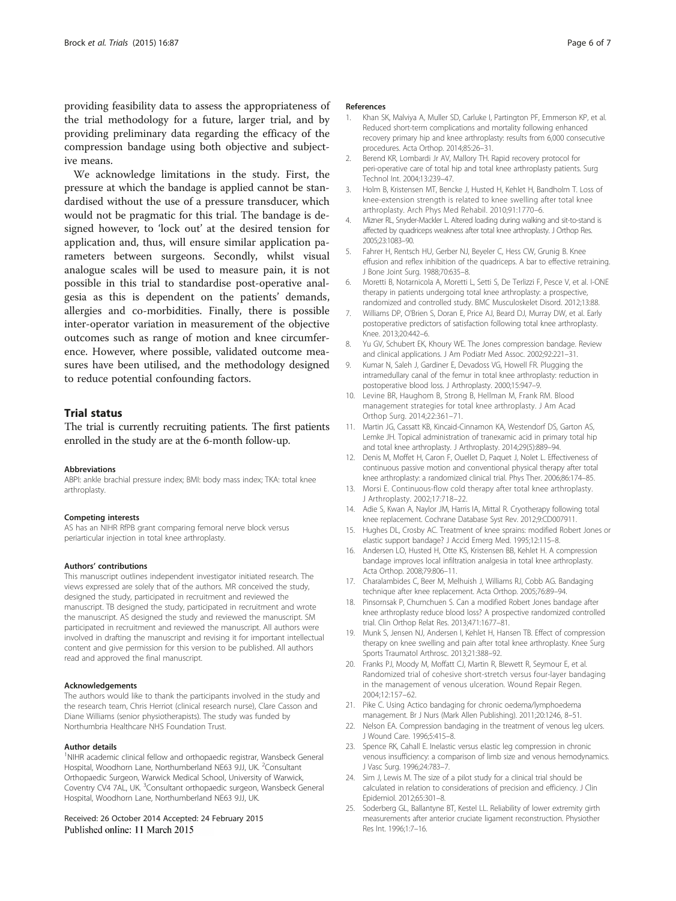<span id="page-5-0"></span>providing feasibility data to assess the appropriateness of the trial methodology for a future, larger trial, and by providing preliminary data regarding the efficacy of the compression bandage using both objective and subjective means.

We acknowledge limitations in the study. First, the pressure at which the bandage is applied cannot be standardised without the use of a pressure transducer, which would not be pragmatic for this trial. The bandage is designed however, to 'lock out' at the desired tension for application and, thus, will ensure similar application parameters between surgeons. Secondly, whilst visual analogue scales will be used to measure pain, it is not possible in this trial to standardise post-operative analgesia as this is dependent on the patients' demands, allergies and co-morbidities. Finally, there is possible inter-operator variation in measurement of the objective outcomes such as range of motion and knee circumference. However, where possible, validated outcome measures have been utilised, and the methodology designed to reduce potential confounding factors.

# Trial status

The trial is currently recruiting patients. The first patients enrolled in the study are at the 6-month follow-up.

#### Abbreviations

ABPI: ankle brachial pressure index; BMI: body mass index; TKA: total knee arthroplasty.

#### Competing interests

AS has an NIHR RfPB grant comparing femoral nerve block versus periarticular injection in total knee arthroplasty.

#### Authors' contributions

This manuscript outlines independent investigator initiated research. The views expressed are solely that of the authors. MR conceived the study, designed the study, participated in recruitment and reviewed the manuscript. TB designed the study, participated in recruitment and wrote the manuscript. AS designed the study and reviewed the manuscript. SM participated in recruitment and reviewed the manuscript. All authors were involved in drafting the manuscript and revising it for important intellectual content and give permission for this version to be published. All authors read and approved the final manuscript.

#### Acknowledgements

The authors would like to thank the participants involved in the study and the research team, Chris Herriot (clinical research nurse), Clare Casson and Diane Williams (senior physiotherapists). The study was funded by Northumbria Healthcare NHS Foundation Trust.

#### Author details

<sup>1</sup>NIHR academic clinical fellow and orthopaedic registrar, Wansbeck General Hospital, Woodhorn Lane, Northumberland NE63 9JJ, UK. <sup>2</sup>Consultant Orthopaedic Surgeon, Warwick Medical School, University of Warwick, Coventry CV4 7AL, UK. <sup>3</sup>Consultant orthopaedic surgeon, Wansbeck General Hospital, Woodhorn Lane, Northumberland NE63 9JJ, UK.

#### Received: 26 October 2014 Accepted: 24 February 2015 Published online: 11 March 2015

#### References

- 1. Khan SK, Malviya A, Muller SD, Carluke I, Partington PF, Emmerson KP, et al. Reduced short-term complications and mortality following enhanced recovery primary hip and knee arthroplasty: results from 6,000 consecutive procedures. Acta Orthop. 2014;85:26–31.
- 2. Berend KR, Lombardi Jr AV, Mallory TH. Rapid recovery protocol for peri-operative care of total hip and total knee arthroplasty patients. Surg Technol Int. 2004;13:239–47.
- 3. Holm B, Kristensen MT, Bencke J, Husted H, Kehlet H, Bandholm T. Loss of knee-extension strength is related to knee swelling after total knee arthroplasty. Arch Phys Med Rehabil. 2010;91:1770–6.
- 4. Mizner RL, Snyder-Mackler L. Altered loading during walking and sit-to-stand is affected by quadriceps weakness after total knee arthroplasty. J Orthop Res. 2005;23:1083–90.
- 5. Fahrer H, Rentsch HU, Gerber NJ, Beyeler C, Hess CW, Grunig B. Knee effusion and reflex inhibition of the quadriceps. A bar to effective retraining. J Bone Joint Surg. 1988;70:635–8.
- 6. Moretti B, Notarnicola A, Moretti L, Setti S, De Terlizzi F, Pesce V, et al. I-ONE therapy in patients undergoing total knee arthroplasty: a prospective, randomized and controlled study. BMC Musculoskelet Disord. 2012;13:88.
- 7. Williams DP, O'Brien S, Doran E, Price AJ, Beard DJ, Murray DW, et al. Early postoperative predictors of satisfaction following total knee arthroplasty. Knee. 2013;20:442–6.
- 8. Yu GV, Schubert EK, Khoury WE. The Jones compression bandage. Review and clinical applications. J Am Podiatr Med Assoc. 2002;92:221–31.
- 9. Kumar N, Saleh J, Gardiner E, Devadoss VG, Howell FR. Plugging the intramedullary canal of the femur in total knee arthroplasty: reduction in postoperative blood loss. J Arthroplasty. 2000;15:947–9.
- 10. Levine BR, Haughom B, Strong B, Hellman M, Frank RM. Blood management strategies for total knee arthroplasty. J Am Acad Orthop Surg. 2014;22:361–71.
- 11. Martin JG, Cassatt KB, Kincaid-Cinnamon KA, Westendorf DS, Garton AS, Lemke JH. Topical administration of tranexamic acid in primary total hip and total knee arthroplasty. J Arthroplasty. 2014;29(5):889–94.
- 12. Denis M, Moffet H, Caron F, Ouellet D, Paquet J, Nolet L. Effectiveness of continuous passive motion and conventional physical therapy after total knee arthroplasty: a randomized clinical trial. Phys Ther. 2006;86:174–85.
- 13. Morsi E. Continuous-flow cold therapy after total knee arthroplasty. J Arthroplasty. 2002;17:718–22.
- 14. Adie S, Kwan A, Naylor JM, Harris IA, Mittal R. Cryotherapy following total knee replacement. Cochrane Database Syst Rev. 2012;9:CD007911.
- 15. Hughes DL, Crosby AC. Treatment of knee sprains: modified Robert Jones or elastic support bandage? J Accid Emerg Med. 1995;12:115–8.
- 16. Andersen LO, Husted H, Otte KS, Kristensen BB, Kehlet H. A compression bandage improves local infiltration analgesia in total knee arthroplasty. Acta Orthop. 2008;79:806–11.
- 17. Charalambides C, Beer M, Melhuish J, Williams RJ, Cobb AG. Bandaging technique after knee replacement. Acta Orthop. 2005;76:89–94.
- 18. Pinsornsak P, Chumchuen S. Can a modified Robert Jones bandage after knee arthroplasty reduce blood loss? A prospective randomized controlled trial. Clin Orthop Relat Res. 2013;471:1677–81.
- 19. Munk S, Jensen NJ, Andersen I, Kehlet H, Hansen TB. Effect of compression therapy on knee swelling and pain after total knee arthroplasty. Knee Surg Sports Traumatol Arthrosc. 2013;21:388–92.
- 20. Franks PJ, Moody M, Moffatt CJ, Martin R, Blewett R, Seymour E, et al. Randomized trial of cohesive short-stretch versus four-layer bandaging in the management of venous ulceration. Wound Repair Regen. 2004;12:157–62.
- 21. Pike C. Using Actico bandaging for chronic oedema/lymphoedema management. Br J Nurs (Mark Allen Publishing). 2011;20:1246, 8–51.
- 22. Nelson EA. Compression bandaging in the treatment of venous leg ulcers. J Wound Care. 1996;5:415–8.
- 23. Spence RK, Cahall E. Inelastic versus elastic leg compression in chronic venous insufficiency: a comparison of limb size and venous hemodynamics. J Vasc Surg. 1996;24:783–7.
- 24. Sim J, Lewis M. The size of a pilot study for a clinical trial should be calculated in relation to considerations of precision and efficiency. J Clin Epidemiol. 2012;65:301–8.
- 25. Soderberg GL, Ballantyne BT, Kestel LL. Reliability of lower extremity girth measurements after anterior cruciate ligament reconstruction. Physiother Res Int. 1996;1:7–16.